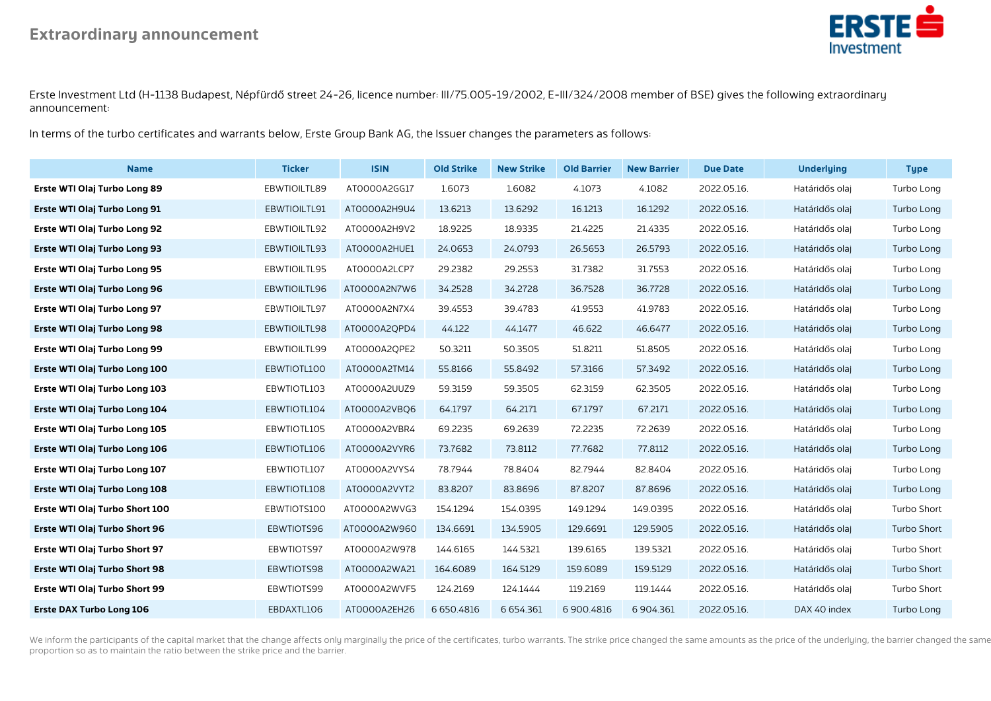

Erste Investment Ltd (H-1138 Budapest, Népfürdő street 24-26, licence number: III/75.005-19/2002, E-III/324/2008 member of BSE) gives the following extraordinary announcement:

In terms of the turbo certificates and warrants below, Erste Group Bank AG, the Issuer changes the parameters as follows:

| <b>Name</b>                     | <b>Ticker</b> | <b>ISIN</b>  | <b>Old Strike</b> | <b>New Strike</b> | <b>Old Barrier</b> | <b>New Barrier</b> | <b>Due Date</b> | <b>Underlying</b> | <b>Type</b> |
|---------------------------------|---------------|--------------|-------------------|-------------------|--------------------|--------------------|-----------------|-------------------|-------------|
| Erste WTI Olaj Turbo Long 89    | EBWTIOILTL89  | AT0000A2GG17 | 1.6073            | 1.6082            | 4.1073             | 4.1082             | 2022.05.16.     | Határidős olaj    | Turbo Long  |
| Erste WTI Olaj Turbo Long 91    | EBWTIOILTL91  | AT0000A2H9U4 | 13.6213           | 13.6292           | 16.1213            | 16.1292            | 2022.05.16.     | Határidős olaj    | Turbo Long  |
| Erste WTI Olaj Turbo Long 92    | EBWTIOILTL92  | AT0000A2H9V2 | 18.9225           | 18.9335           | 21.4225            | 21.4335            | 2022.05.16.     | Határidős olaj    | Turbo Long  |
| Erste WTI Olaj Turbo Long 93    | EBWTIOILTL93  | AT0000A2HUE1 | 24.0653           | 24.0793           | 26.5653            | 26.5793            | 2022.05.16.     | Határidős olaj    | Turbo Long  |
| Erste WTI Olaj Turbo Long 95    | EBWTIOILTL95  | ATOOOOA2LCP7 | 29.2382           | 29.2553           | 31.7382            | 31.7553            | 2022.05.16.     | Határidős olaj    | Turbo Long  |
| Erste WTI Olaj Turbo Long 96    | EBWTIOILTL96  | AT0000A2N7W6 | 34.2528           | 34.2728           | 36.7528            | 36.7728            | 2022.05.16.     | Határidős olaj    | Turbo Long  |
| Erste WTI Olaj Turbo Long 97    | EBWTIOILTL97  | AT0000A2N7X4 | 39.4553           | 39.4783           | 41.9553            | 41.9783            | 2022.05.16.     | Határidős olaj    | Turbo Long  |
| Erste WTI Olaj Turbo Long 98    | EBWTIOILTL98  | AT0000A2QPD4 | 44.122            | 44.1477           | 46.622             | 46.6477            | 2022.05.16.     | Határidős olaj    | Turbo Long  |
| Erste WTI Olaj Turbo Long 99    | EBWTIOILTL99  | AT0000A2QPE2 | 50.3211           | 50.3505           | 51.8211            | 51.8505            | 2022.05.16.     | Határidős olaj    | Turbo Long  |
| Erste WTI Olaj Turbo Long 100   | EBWTIOTL100   | AT0000A2TM14 | 55.8166           | 55.8492           | 57.3166            | 57.3492            | 2022.05.16.     | Határidős olaj    | Turbo Long  |
| Erste WTI Olaj Turbo Long 103   | EBWTIOTL103   | AT0000A2UUZ9 | 59.3159           | 59.3505           | 62.3159            | 62.3505            | 2022.05.16.     | Határidős olaj    | Turbo Long  |
| Erste WTI Olaj Turbo Long 104   | EBWTIOTL104   | ATOOOOA2VBQ6 | 64.1797           | 64.2171           | 67.1797            | 67.2171            | 2022.05.16.     | Határidős olaj    | Turbo Long  |
| Erste WTI Olaj Turbo Long 105   | EBWTIOTL105   | AT0000A2VBR4 | 69.2235           | 69.2639           | 72.2235            | 72.2639            | 2022.05.16.     | Határidős olaj    | Turbo Long  |
| Erste WTI Olaj Turbo Long 106   | EBWTIOTL106   | AT0000A2VYR6 | 73.7682           | 73.8112           | 77.7682            | 77.8112            | 2022.05.16.     | Határidős olaj    | Turbo Long  |
| Erste WTI Olaj Turbo Long 107   | EBWTIOTL107   | AT0000A2VYS4 | 78.7944           | 78.8404           | 82.7944            | 82.8404            | 2022.05.16.     | Határidős olaj    | Turbo Long  |
| Erste WTI Olaj Turbo Long 108   | EBWTIOTL108   | AT0000A2VYT2 | 83.8207           | 83.8696           | 87.8207            | 87.8696            | 2022.05.16.     | Határidős olaj    | Turbo Long  |
| Erste WTI Olaj Turbo Short 100  | EBWTIOTS100   | AT0000A2WVG3 | 154.1294          | 154.0395          | 149.1294           | 149.0395           | 2022.05.16.     | Határidős olaj    | Turbo Short |
| Erste WTI Olaj Turbo Short 96   | EBWTIOTS96    | AT0000A2W960 | 134.6691          | 134.5905          | 129.6691           | 129.5905           | 2022.05.16.     | Határidős olaj    | Turbo Short |
| Erste WTI Olaj Turbo Short 97   | EBWTIOTS97    | AT0000A2W978 | 144.6165          | 144.5321          | 139.6165           | 139.5321           | 2022.05.16.     | Határidős olaj    | Turbo Short |
| Erste WTI Olaj Turbo Short 98   | EBWTIOTS98    | AT0000A2WA21 | 164.6089          | 164.5129          | 159.6089           | 159.5129           | 2022.05.16.     | Határidős olaj    | Turbo Short |
| Erste WTI Olaj Turbo Short 99   | EBWTIOTS99    | ATOOOOA2WVF5 | 124.2169          | 124.1444          | 119.2169           | 119.1444           | 2022.05.16.     | Határidős olaj    | Turbo Short |
| <b>Erste DAX Turbo Long 106</b> | EBDAXTL106    | AT0000A2EH26 | 6 650.4816        | 6 6 5 4 . 3 6 1   | 6900.4816          | 6904.361           | 2022.05.16.     | DAX 40 index      | Turbo Long  |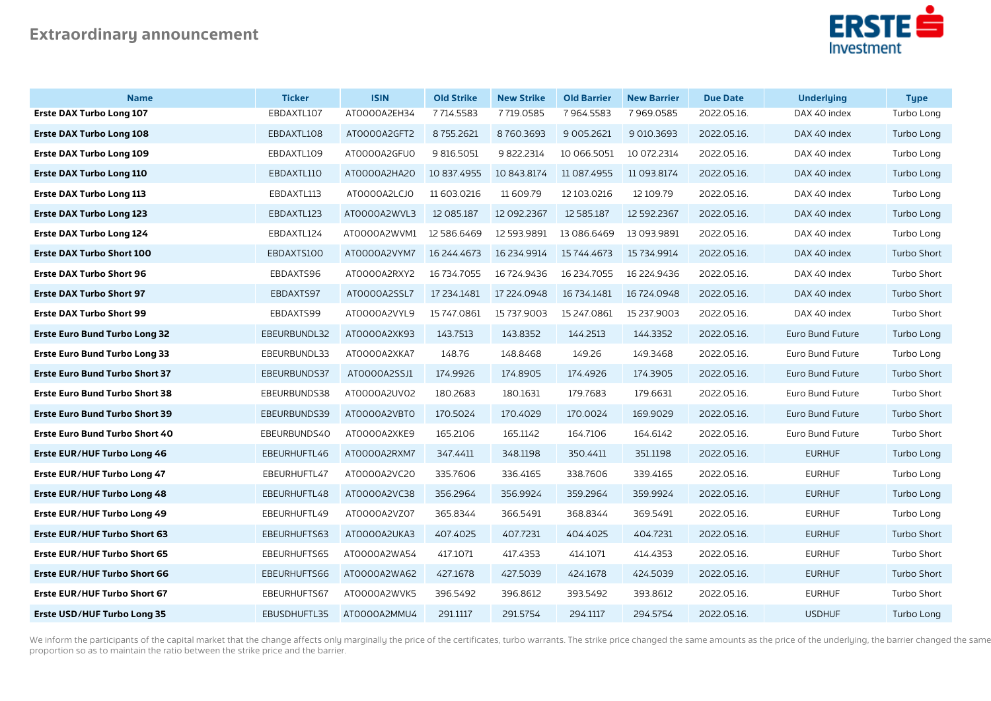

| <b>Name</b>                           | <b>Ticker</b> | <b>ISIN</b>  | <b>Old Strike</b> | <b>New Strike</b> | <b>Old Barrier</b> | <b>New Barrier</b> | <b>Due Date</b> | <b>Underlying</b> | <b>Type</b>        |
|---------------------------------------|---------------|--------------|-------------------|-------------------|--------------------|--------------------|-----------------|-------------------|--------------------|
| <b>Erste DAX Turbo Long 107</b>       | EBDAXTL107    | ATOOOOA2EH34 | 7714.5583         | 7719.0585         | 7964.5583          | 7969.0585          | 2022.05.16.     | DAX 40 index      | Turbo Long         |
| <b>Erste DAX Turbo Long 108</b>       | EBDAXTL108    | AT0000A2GFT2 | 8755.2621         | 8760.3693         | 9 0 0 5.26 21      | 9 010.3693         | 2022.05.16.     | DAX 40 index      | Turbo Long         |
| <b>Erste DAX Turbo Long 109</b>       | EBDAXTL109    | AT0000A2GFU0 | 9 816.5051        | 9 822.2314        | 10 066.5051        | 10 072.2314        | 2022.05.16.     | DAX 40 index      | Turbo Long         |
| <b>Erste DAX Turbo Long 110</b>       | EBDAXTL110    | AT0000A2HA20 | 10 837.4955       | 10 843.8174       | 11 087.4955        | 11 093.8174        | 2022.05.16.     | DAX 40 index      | Turbo Long         |
| <b>Erste DAX Turbo Long 113</b>       | EBDAXTL113    | AT0000A2LCJ0 | 11 603 0216       | 11 609.79         | 12 103 0216        | 12 109.79          | 2022.05.16.     | DAX 40 index      | Turbo Long         |
| <b>Erste DAX Turbo Long 123</b>       | EBDAXTL123    | AT0000A2WVL3 | 12 085.187        | 12 092.2367       | 12 585.187         | 12 592.2367        | 2022.05.16.     | DAX 40 index      | Turbo Long         |
| <b>Erste DAX Turbo Long 124</b>       | EBDAXTL124    | ATOOOOA2WVM1 | 12 586.6469       | 12 593 9891       | 13 086.6469        | 13 093.9891        | 2022.05.16.     | DAX 40 index      | Turbo Long         |
| <b>Erste DAX Turbo Short 100</b>      | EBDAXTS100    | AT0000A2VYM7 | 16 244.4673       | 16 234.9914       | 15 744.4673        | 15 734.9914        | 2022.05.16.     | DAX 40 index      | <b>Turbo Short</b> |
| <b>Erste DAX Turbo Short 96</b>       | EBDAXTS96     | AT0000A2RXY2 | 16 734.7055       | 16 724.9436       | 16 234.7055        | 16 224.9436        | 2022.05.16.     | DAX 40 index      | Turbo Short        |
| <b>Erste DAX Turbo Short 97</b>       | EBDAXTS97     | AT0000A2SSL7 | 17 234.1481       | 17 224.0948       | 16 734.1481        | 16 724.0948        | 2022.05.16.     | DAX 40 index      | <b>Turbo Short</b> |
| <b>Erste DAX Turbo Short 99</b>       | EBDAXTS99     | AT0000A2VYL9 | 15 747 0861       | 15 737.9003       | 15 247.0861        | 15 237.9003        | 2022.05.16.     | DAX 40 index      | Turbo Short        |
| <b>Erste Euro Bund Turbo Long 32</b>  | EBEURBUNDL32  | AT0000A2XK93 | 143.7513          | 143.8352          | 144.2513           | 144.3352           | 2022.05.16.     | Euro Bund Future  | Turbo Long         |
| <b>Erste Euro Bund Turbo Long 33</b>  | EBEURBUNDL33  | ATOOOOA2XKA7 | 148.76            | 148.8468          | 149.26             | 149.3468           | 2022.05.16.     | Euro Bund Future  | Turbo Long         |
| <b>Erste Euro Bund Turbo Short 37</b> | EBEURBUNDS37  | AT0000A2SSJ1 | 174.9926          | 174.8905          | 174.4926           | 174.3905           | 2022.05.16.     | Euro Bund Future  | <b>Turbo Short</b> |
| <b>Erste Euro Bund Turbo Short 38</b> | EBEURBUNDS38  | ATOOOOA2UVO2 | 180.2683          | 180.1631          | 179.7683           | 179.6631           | 2022.05.16.     | Euro Bund Future  | Turbo Short        |
| <b>Erste Euro Bund Turbo Short 39</b> | EBEURBUNDS39  | ATOOOOA2VBTO | 170.5024          | 170.4029          | 170.0024           | 169.9029           | 2022.05.16.     | Euro Bund Future  | Turbo Short        |
| <b>Erste Euro Bund Turbo Short 40</b> | EBEURBUNDS40  | ATOOOOA2XKE9 | 165.2106          | 165.1142          | 164.7106           | 164.6142           | 2022.05.16.     | Euro Bund Future  | Turbo Short        |
| <b>Erste EUR/HUF Turbo Long 46</b>    | EBEURHUFTL46  | AT0000A2RXM7 | 347.4411          | 348.1198          | 350.4411           | 351.1198           | 2022.05.16.     | <b>EURHUF</b>     | Turbo Long         |
| Erste EUR/HUF Turbo Long 47           | EBEURHUFTL47  | ATOOOOA2VC20 | 335.7606          | 336.4165          | 338.7606           | 339.4165           | 2022.05.16.     | <b>EURHUF</b>     | Turbo Long         |
| <b>Erste EUR/HUF Turbo Long 48</b>    | EBEURHUFTL48  | AT0000A2VC38 | 356.2964          | 356.9924          | 359.2964           | 359.9924           | 2022.05.16.     | <b>EURHUF</b>     | Turbo Long         |
| Erste EUR/HUF Turbo Long 49           | EBEURHUFTL49  | AT0000A2VZ07 | 365.8344          | 366.5491          | 368.8344           | 369.5491           | 2022.05.16.     | <b>EURHUF</b>     | Turbo Long         |
| <b>Erste EUR/HUF Turbo Short 63</b>   | EBEURHUFTS63  | ATOOOOA2UKA3 | 407.4025          | 407.7231          | 404.4025           | 404.7231           | 2022.05.16.     | <b>EURHUF</b>     | <b>Turbo Short</b> |
| Erste EUR/HUF Turbo Short 65          | EBEURHUFTS65  | AT0000A2WA54 | 417.1071          | 417.4353          | 414.1071           | 414.4353           | 2022.05.16.     | <b>EURHUF</b>     | Turbo Short        |
| Erste EUR/HUF Turbo Short 66          | EBEURHUFTS66  | AT0000A2WA62 | 427.1678          | 427.5039          | 424.1678           | 424.5039           | 2022.05.16.     | <b>EURHUF</b>     | <b>Turbo Short</b> |
| <b>Erste EUR/HUF Turbo Short 67</b>   | EBEURHUFTS67  | AT0000A2WVK5 | 396.5492          | 396.8612          | 393.5492           | 393.8612           | 2022.05.16.     | <b>EURHUF</b>     | Turbo Short        |
| <b>Erste USD/HUF Turbo Long 35</b>    | EBUSDHUFTL35  | AT0000A2MMU4 | 291.1117          | 291.5754          | 294.1117           | 294.5754           | 2022.05.16.     | <b>USDHUF</b>     | Turbo Long         |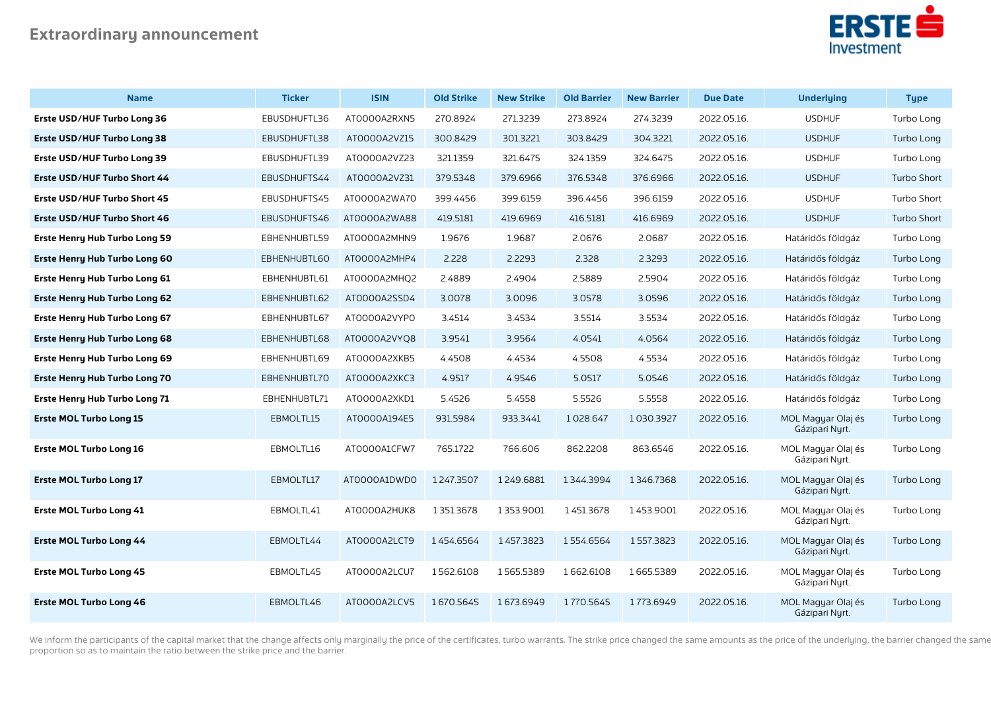

| <b>Name</b>                          | <b>Ticker</b> | <b>ISIN</b>  | <b>Old Strike</b> | <b>New Strike</b> | <b>Old Barrier</b> | <b>New Barrier</b> | <b>Due Date</b> | <b>Underlying</b>                    | <b>Type</b>        |
|--------------------------------------|---------------|--------------|-------------------|-------------------|--------------------|--------------------|-----------------|--------------------------------------|--------------------|
| Erste USD/HUF Turbo Long 36          | EBUSDHUFTL36  | ATOOOOA2RXN5 | 270.8924          | 271.3239          | 273.8924           | 274.3239           | 2022.05.16.     | <b>USDHUF</b>                        | Turbo Long         |
| Erste USD/HUF Turbo Long 38          | EBUSDHUFTL38  | AT0000A2VZ15 | 300.8429          | 301.3221          | 303.8429           | 304.3221           | 2022.05.16.     | <b>USDHUF</b>                        | Turbo Long         |
| Erste USD/HUF Turbo Long 39          | EBUSDHUFTL39  | AT0000A2VZ23 | 321.1359          | 321.6475          | 324.1359           | 324.6475           | 2022.05.16.     | <b>USDHUF</b>                        | Turbo Long         |
| Erste USD/HUF Turbo Short 44         | EBUSDHUFTS44  | AT0000A2VZ31 | 379.5348          | 379.6966          | 376.5348           | 376.6966           | 2022.05.16.     | <b>USDHUF</b>                        | <b>Turbo Short</b> |
| Erste USD/HUF Turbo Short 45         | EBUSDHUFTS45  | AT0000A2WA70 | 399.4456          | 399.6159          | 396.4456           | 396.6159           | 2022.05.16.     | <b>USDHUF</b>                        | Turbo Short        |
| Erste USD/HUF Turbo Short 46         | EBUSDHUFTS46  | AT0000A2WA88 | 419.5181          | 419.6969          | 416.5181           | 416.6969           | 2022.05.16.     | <b>USDHUF</b>                        | <b>Turbo Short</b> |
| <b>Erste Henry Hub Turbo Long 59</b> | EBHENHUBTL59  | AT0000A2MHN9 | 1.9676            | 1.9687            | 2.0676             | 2.0687             | 2022.05.16.     | Határidős földgáz                    | Turbo Long         |
| <b>Erste Henry Hub Turbo Long 60</b> | EBHENHUBTL60  | ATOOOOA2MHP4 | 2.228             | 2.2293            | 2.328              | 2.3293             | 2022.05.16.     | Határidős földgáz                    | Turbo Long         |
| Erste Henry Hub Turbo Long 61        | EBHENHUBTL61  | AT0000A2MHQ2 | 2.4889            | 2.4904            | 2.5889             | 2.5904             | 2022.05.16.     | Határidős földgáz                    | Turbo Long         |
| <b>Erste Henry Hub Turbo Long 62</b> | EBHENHUBTL62  | AT0000A2SSD4 | 3.0078            | 3.0096            | 3.0578             | 3.0596             | 2022.05.16.     | Határidős földgáz                    | Turbo Long         |
| <b>Erste Henry Hub Turbo Long 67</b> | EBHENHUBTL67  | AT0000A2VYP0 | 3.4514            | 3.4534            | 3.5514             | 3.5534             | 2022.05.16.     | Határidős földgáz                    | Turbo Long         |
| <b>Erste Henry Hub Turbo Long 68</b> | EBHENHUBTL68  | AT0000A2VYQ8 | 3.9541            | 3.9564            | 4.0541             | 4.0564             | 2022.05.16.     | Határidős földgáz                    | Turbo Long         |
| Erste Henry Hub Turbo Long 69        | EBHENHUBTL69  | ATOOOOA2XKB5 | 4.4508            | 4.4534            | 4.5508             | 4.5534             | 2022.05.16.     | Határidős földgáz                    | Turbo Long         |
| <b>Erste Henry Hub Turbo Long 70</b> | EBHENHUBTL70  | ATOOOOA2XKC3 | 4.9517            | 4.9546            | 5.0517             | 5.0546             | 2022.05.16.     | Határidős földgáz                    | Turbo Long         |
| <b>Erste Henry Hub Turbo Long 71</b> | EBHENHUBTL71  | ATOOOOA2XKD1 | 5.4526            | 5.4558            | 5.5526             | 5.5558             | 2022.05.16.     | Határidős földgáz                    | Turbo Long         |
| <b>Erste MOL Turbo Long 15</b>       | EBMOLTL15     | AT0000A194E5 | 931.5984          | 933.3441          | 1028.647           | 1030.3927          | 2022.05.16.     | MOL Magyar Olaj és<br>Gázipari Nyrt. | Turbo Long         |
| <b>Erste MOL Turbo Long 16</b>       | EBMOLTL16     | AT0000A1CFW7 | 765.1722          | 766.606           | 862.2208           | 863.6546           | 2022.05.16.     | MOL Magyar Olaj és<br>Gázipari Nyrt. | Turbo Long         |
| <b>Erste MOL Turbo Long 17</b>       | EBMOLTL17     | AT0000A1DWD0 | 1247.3507         | 1249.6881         | 1344.3994          | 1346.7368          | 2022.05.16.     | MOL Magyar Olaj és<br>Gázipari Nyrt. | Turbo Long         |
| <b>Erste MOL Turbo Long 41</b>       | EBMOLTL41     | ATOOOOA2HUK8 | 1351.3678         | 1353.9001         | 1451.3678          | 1453.9001          | 2022.05.16.     | MOL Magyar Olaj és<br>Gázipari Nurt. | Turbo Long         |
| <b>Erste MOL Turbo Long 44</b>       | EBMOLTL44     | ATOOOOA2LCT9 | 1454.6564         | 1457.3823         | 1554.6564          | 1557.3823          | 2022.05.16.     | MOL Magyar Olaj és<br>Gázipari Nyrt. | Turbo Long         |
| <b>Erste MOL Turbo Long 45</b>       | EBMOLTL45     | ATOOOOA2LCU7 | 1562.6108         | 1565.5389         | 1662.6108          | 1665.5389          | 2022.05.16.     | MOL Magyar Olaj és<br>Gázipari Nyrt. | Turbo Long         |
| <b>Erste MOL Turbo Long 46</b>       | EBMOLTL46     | ATOOOOA2LCV5 | 1670.5645         | 1673.6949         | 1770.5645          | 1773.6949          | 2022.05.16.     | MOL Magyar Olaj és<br>Gázipari Nyrt. | Turbo Long         |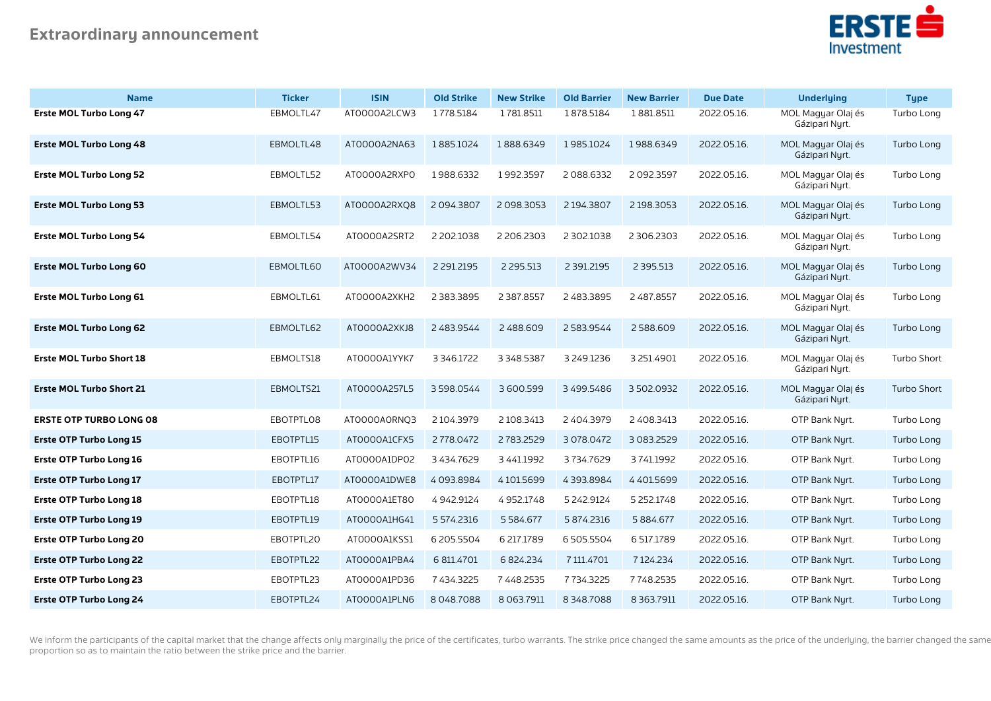

| <b>Name</b>                     | <b>Ticker</b> | <b>ISIN</b>  | <b>Old Strike</b> | <b>New Strike</b> | <b>Old Barrier</b> | <b>New Barrier</b> | <b>Due Date</b> | <b>Underlying</b>                    | <b>Type</b> |
|---------------------------------|---------------|--------------|-------------------|-------------------|--------------------|--------------------|-----------------|--------------------------------------|-------------|
| <b>Erste MOL Turbo Long 47</b>  | EBMOLTL47     | ATOOOOA2LCW3 | 1778.5184         | 1781.8511         | 1878.5184          | 1881.8511          | 2022.05.16.     | MOL Magyar Olaj és<br>Gázipari Nyrt. | Turbo Long  |
| <b>Erste MOL Turbo Long 48</b>  | EBMOLTL48     | AT0000A2NA63 | 1885.1024         | 1888.6349         | 1985.1024          | 1988.6349          | 2022.05.16.     | MOL Magyar Olaj és<br>Gázipari Nyrt. | Turbo Long  |
| <b>Erste MOL Turbo Long 52</b>  | EBMOLTL52     | ATOOOOA2RXPO | 1988.6332         | 1992.3597         | 2088.6332          | 2 092.3597         | 2022.05.16.     | MOL Magyar Olaj és<br>Gázipari Nyrt. | Turbo Long  |
| <b>Erste MOL Turbo Long 53</b>  | EBMOLTL53     | AT0000A2RXQ8 | 2094.3807         | 2098.3053         | 2 194.3807         | 2 198.3053         | 2022.05.16.     | MOL Magyar Olaj és<br>Gázipari Nyrt. | Turbo Long  |
| <b>Erste MOL Turbo Long 54</b>  | EBMOLTL54     | AT0000A2SRT2 | 2 202.1038        | 2 206.2303        | 2 302.1038         | 2306.2303          | 2022.05.16.     | MOL Magyar Olaj és<br>Gázipari Nyrt. | Turbo Long  |
| <b>Erste MOL Turbo Long 60</b>  | EBMOLTL60     | AT0000A2WV34 | 2 2 9 1.2 1 9 5   | 2 2 9 5 .5 1 3    | 2 391.2195         | 2 3 9 5 . 5 1 3    | 2022.05.16.     | MOL Magyar Olaj és<br>Gázipari Nyrt. | Turbo Long  |
| <b>Erste MOL Turbo Long 61</b>  | EBMOLTL61     | ATOOOOA2XKH2 | 2 3 8 3 . 3 8 9 5 | 2 3 8 7 . 8 5 5 7 | 2 483.3895         | 2 487.8557         | 2022.05.16.     | MOL Magyar Olaj és<br>Gázipari Nyrt. | Turbo Long  |
| <b>Erste MOL Turbo Long 62</b>  | EBMOLTL62     | ATOOOOA2XKJ8 | 2 483.9544        | 2488.609          | 2583.9544          | 2588.609           | 2022.05.16.     | MOL Magyar Olaj és<br>Gázipari Nyrt. | Turbo Long  |
| <b>Erste MOL Turbo Short 18</b> | EBMOLTS18     | ATOOOOA1YYK7 | 3 3 4 6 1 7 2 2   | 3 3 4 8 5 3 8 7   | 3 249.1236         | 3 251.4901         | 2022.05.16.     | MOL Magyar Olaj és<br>Gázipari Nyrt. | Turbo Short |
| <b>Erste MOL Turbo Short 21</b> | EBMOLTS21     | AT0000A257L5 | 3598.0544         | 3600.599          | 3 499.5486         | 3502.0932          | 2022.05.16.     | MOL Magyar Olaj és<br>Gázipari Nyrt. | Turbo Short |
| <b>ERSTE OTP TURBO LONG 08</b>  | EBOTPTL08     | AT0000A0RNQ3 | 2104.3979         | 2 108.3413        | 2 404.3979         | 2 408.3413         | 2022.05.16.     | OTP Bank Nyrt.                       | Turbo Long  |
| <b>Erste OTP Turbo Long 15</b>  | EBOTPTL15     | ATOOOOA1CFX5 | 2778.0472         | 2783.2529         | 3 078 0472         | 3 083.2529         | 2022.05.16.     | OTP Bank Nyrt.                       | Turbo Long  |
| <b>Erste OTP Turbo Long 16</b>  | EBOTPTL16     | AT0000A1DP02 | 3 4 3 4 . 7 6 2 9 | 3 4 4 1.1992      | 3734.7629          | 3741.1992          | 2022.05.16.     | OTP Bank Nurt.                       | Turbo Long  |
| <b>Erste OTP Turbo Long 17</b>  | EBOTPTL17     | ATOOOOA1DWE8 | 4093.8984         | 4101.5699         | 4393.8984          | 4401.5699          | 2022.05.16.     | OTP Bank Nurt.                       | Turbo Long  |
| <b>Erste OTP Turbo Long 18</b>  | EBOTPTL18     | ATOOOOA1ET80 | 4942.9124         | 4952.1748         | 5 242.9124         | 5 2 5 2 1 7 4 8    | 2022.05.16.     | OTP Bank Nyrt.                       | Turbo Long  |
| <b>Erste OTP Turbo Long 19</b>  | EBOTPTL19     | AT0000A1HG41 | 5 574.2316        | 5584.677          | 5 874.2316         | 5884.677           | 2022.05.16.     | OTP Bank Nyrt.                       | Turbo Long  |
| <b>Erste OTP Turbo Long 20</b>  | EBOTPTL20     | AT0000A1KSS1 | 6 205.5504        | 6 217.1789        | 6505.5504          | 6 517.1789         | 2022.05.16.     | OTP Bank Nyrt.                       | Turbo Long  |
| <b>Erste OTP Turbo Long 22</b>  | EBOTPTL22     | ATOOOOA1PBA4 | 6 811.4701        | 6 824.234         | 7 111.4701         | 7124.234           | 2022.05.16.     | OTP Bank Nyrt.                       | Turbo Long  |
| <b>Erste OTP Turbo Long 23</b>  | EBOTPTL23     | AT0000A1PD36 | 7 434.3225        | 7 4 4 8 2 5 3 5   | 7734.3225          | 7748.2535          | 2022.05.16.     | OTP Bank Nurt.                       | Turbo Long  |
| <b>Erste OTP Turbo Long 24</b>  | EBOTPTL24     | AT0000A1PLN6 | 8048.7088         | 8 0 63.7911       | 8348.7088          | 8 3 6 3.79 11      | 2022.05.16.     | OTP Bank Nyrt.                       | Turbo Long  |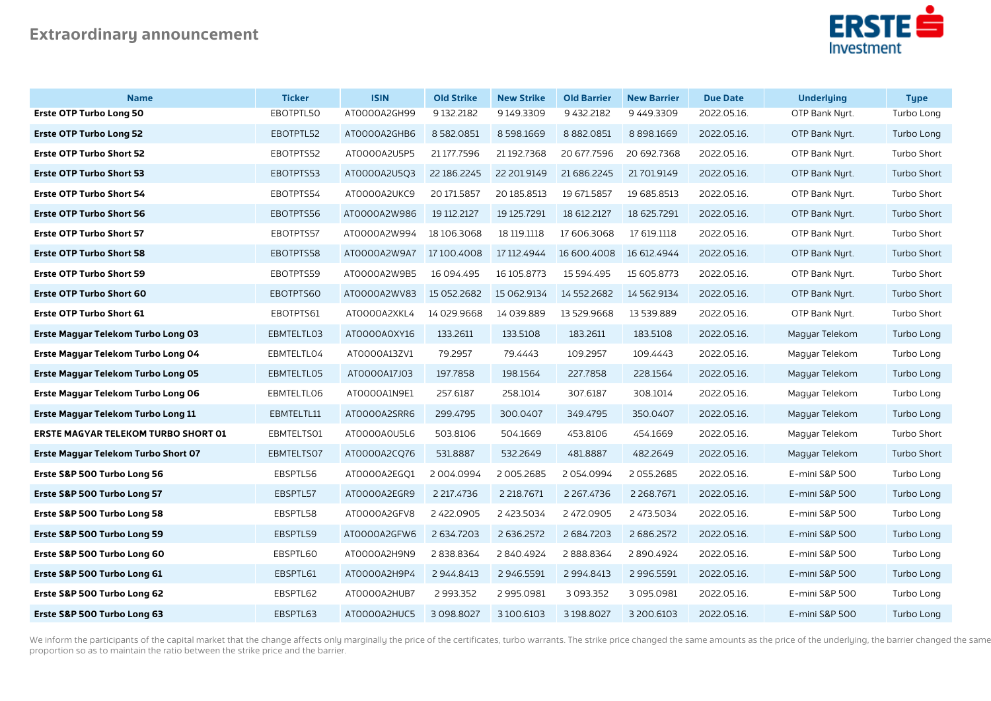

| <b>Name</b>                                | <b>Ticker</b> | <b>ISIN</b>             | <b>Old Strike</b> | <b>New Strike</b> | <b>Old Barrier</b> | <b>New Barrier</b> | <b>Due Date</b> | <b>Underlying</b> | <b>Type</b>        |
|--------------------------------------------|---------------|-------------------------|-------------------|-------------------|--------------------|--------------------|-----------------|-------------------|--------------------|
| <b>Erste OTP Turbo Long 50</b>             | EBOTPTL50     | AT0000A2GH99            | 9 132.2182        | 9149.3309         | 9 432.2182         | 9449.3309          | 2022.05.16.     | OTP Bank Nyrt.    | Turbo Long         |
| <b>Erste OTP Turbo Long 52</b>             | EBOTPTL52     | ATOOOOA2GHB6            | 8582.0851         | 8598.1669         | 8 8 8 2.0 8 5 1    | 8898.1669          | 2022.05.16.     | OTP Bank Nyrt.    | Turbo Long         |
| <b>Erste OTP Turbo Short 52</b>            | EBOTPTS52     | AT0000A2U5P5            | 21 177.7596       | 21 192.7368       | 20 677.7596        | 20 692.7368        | 2022.05.16.     | OTP Bank Nyrt.    | Turbo Short        |
| <b>Erste OTP Turbo Short 53</b>            | EBOTPTS53     | AT0000A2U5Q3            | 22 186.2245       | 22 201.9149       | 21 686.2245        | 21 701.9149        | 2022.05.16.     | OTP Bank Nyrt.    | Turbo Short        |
| <b>Erste OTP Turbo Short 54</b>            | EBOTPTS54     | AT0000A2UKC9            | 20 171.5857       | 20 185.8513       | 19 671.5857        | 19 685.8513        | 2022.05.16.     | OTP Bank Nyrt.    | Turbo Short        |
| <b>Erste OTP Turbo Short 56</b>            | EBOTPTS56     | AT0000A2W986            | 19 112 2127       | 19 125.7291       | 18 612.2127        | 18 625.7291        | 2022.05.16.     | OTP Bank Nyrt.    | <b>Turbo Short</b> |
| <b>Erste OTP Turbo Short 57</b>            | EBOTPTS57     | AT0000A2W994            | 18 106.3068       | 18 119 1118       | 17 606.3068        | 17 619.1118        | 2022.05.16.     | OTP Bank Nyrt.    | Turbo Short        |
| <b>Erste OTP Turbo Short 58</b>            | EBOTPTS58     | AT0000A2W9A7 17100.4008 |                   | 17 112 4944       | 16 600.4008        | 16 612.4944        | 2022.05.16.     | OTP Bank Nyrt.    | <b>Turbo Short</b> |
| <b>Erste OTP Turbo Short 59</b>            | EBOTPTS59     | ATOOOOA2W9B5            | 16 094.495        | 16 105.8773       | 15 594.495         | 15 605.8773        | 2022.05.16.     | OTP Bank Nurt.    | Turbo Short        |
| <b>Erste OTP Turbo Short 60</b>            | EBOTPTS60     | AT0000A2WV83            | 15 052.2682       | 15 062.9134       | 14 552.2682        | 14 562.9134        | 2022.05.16.     | OTP Bank Nyrt.    | Turbo Short        |
| <b>Erste OTP Turbo Short 61</b>            | EBOTPTS61     | ATOOOOA2XKL4            | 14 029.9668       | 14 039.889        | 13 529.9668        | 13 539.889         | 2022.05.16.     | OTP Bank Nyrt.    | Turbo Short        |
| Erste Magyar Telekom Turbo Long 03         | EBMTELTL03    | ATOOOOAOXY16            | 133.2611          | 133.5108          | 183.2611           | 183.5108           | 2022.05.16.     | Magyar Telekom    | Turbo Long         |
| Erste Magyar Telekom Turbo Long 04         | EBMTELTLO4    | AT0000A13ZV1            | 79.2957           | 79.4443           | 109.2957           | 109.4443           | 2022.05.16.     | Magyar Telekom    | Turbo Long         |
| Erste Magyar Telekom Turbo Long 05         | EBMTELTL05    | AT0000A17J03            | 197.7858          | 198.1564          | 227.7858           | 228.1564           | 2022.05.16.     | Magyar Telekom    | Turbo Long         |
| Erste Magyar Telekom Turbo Long 06         | EBMTELTL06    | AT0000A1N9E1            | 257.6187          | 258.1014          | 307.6187           | 308.1014           | 2022.05.16.     | Magyar Telekom    | Turbo Long         |
| Erste Magyar Telekom Turbo Long 11         | EBMTELTL11    | AT0000A2SRR6            | 299.4795          | 300.0407          | 349.4795           | 350.0407           | 2022.05.16.     | Magyar Telekom    | Turbo Long         |
| <b>ERSTE MAGYAR TELEKOM TURBO SHORT 01</b> | EBMTELTS01    | AT0000A0U5L6            | 503.8106          | 504.1669          | 453.8106           | 454.1669           | 2022.05.16.     | Magyar Telekom    | Turbo Short        |
| Erste Magyar Telekom Turbo Short 07        | EBMTELTS07    | AT0000A2CQ76            | 531.8887          | 532.2649          | 481.8887           | 482.2649           | 2022.05.16.     | Magyar Telekom    | <b>Turbo Short</b> |
| Erste S&P 500 Turbo Long 56                | EBSPTL56      | AT0000A2EGQ1            | 2004.0994         | 2005.2685         | 2054.0994          | 2055.2685          | 2022.05.16.     | E-mini S&P 500    | Turbo Long         |
| Erste S&P 500 Turbo Long 57                | EBSPTL57      | AT0000A2EGR9            | 2 217.4736        | 2 2 18.7671       | 2 2 6 7 . 4 7 3 6  | 2 2 68.7671        | 2022.05.16.     | E-mini S&P 500    | Turbo Long         |
| Erste S&P 500 Turbo Long 58                | EBSPTL58      | AT0000A2GFV8            | 2 422 0905        | 2 423.5034        | 2 472 0905         | 2 473.5034         | 2022.05.16.     | E-mini S&P 500    | Turbo Long         |
| Erste S&P 500 Turbo Long 59                | EBSPTL59      | ATOOOOA2GFW6            | 2 634.7203        | 2 636.2572        | 2 684.7203         | 2 686.2572         | 2022.05.16.     | E-mini S&P 500    | Turbo Long         |
| Erste S&P 500 Turbo Long 60                | EBSPTL60      | AT0000A2H9N9            | 2838.8364         | 2840.4924         | 2888.8364          | 2890.4924          | 2022.05.16.     | E-mini S&P 500    | Turbo Long         |
| Erste S&P 500 Turbo Long 61                | EBSPTL61      | AT0000A2H9P4            | 2944.8413         | 2946.5591         | 2 994.8413         | 2 996.5591         | 2022.05.16.     | E-mini S&P 500    | Turbo Long         |
| Erste S&P 500 Turbo Long 62                | EBSPTL62      | ATOOOOA2HUB7            | 2 993.352         | 2995.0981         | 3 093.352          | 3 095 0981         | 2022.05.16.     | E-mini S&P 500    | Turbo Long         |
| Erste S&P 500 Turbo Long 63                | EBSPTL63      | ATOOOOA2HUC5            | 3098.8027         | 3 100.6103        | 3198.8027          | 3 200.6103         | 2022.05.16.     | E-mini S&P 500    | Turbo Long         |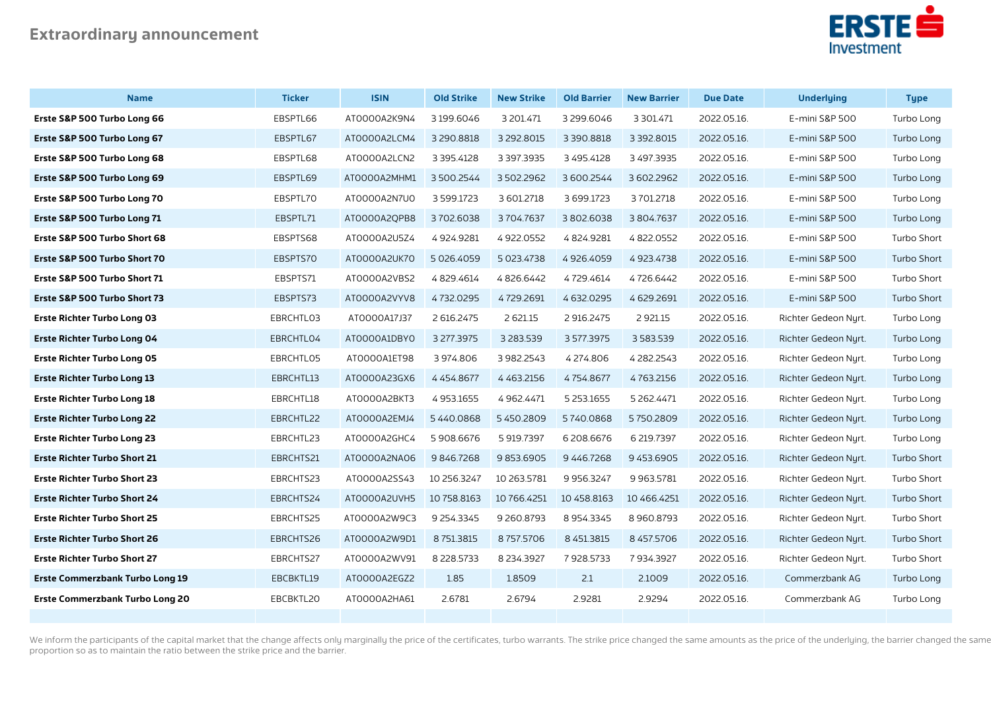

| <b>Name</b>                            | <b>Ticker</b> | <b>ISIN</b>  | <b>Old Strike</b> | <b>New Strike</b> | <b>Old Barrier</b> | <b>New Barrier</b> | <b>Due Date</b> | <b>Underlying</b>    | <b>Type</b> |
|----------------------------------------|---------------|--------------|-------------------|-------------------|--------------------|--------------------|-----------------|----------------------|-------------|
| Erste S&P 500 Turbo Long 66            | EBSPTL66      | ATOOOOA2K9N4 | 3 199.6046        | 3 201.471         | 3299.6046          | 3 3 0 1.47 1       | 2022.05.16.     | E-mini S&P 500       | Turbo Long  |
| Erste S&P 500 Turbo Long 67            | EBSPTL67      | AT0000A2LCM4 | 3 290.8818        | 3 292.8015        | 3 390.8818         | 3 3 9 2.8 0 1 5    | 2022.05.16.     | E-mini S&P 500       | Turbo Long  |
| Erste S&P 500 Turbo Long 68            | EBSPTL68      | AT0000A2LCN2 | 3 3 9 5 4 1 2 8   | 3 397.3935        | 3 495.4128         | 3 497.3935         | 2022.05.16.     | E-mini S&P 500       | Turbo Long  |
| Erste S&P 500 Turbo Long 69            | EBSPTL69      | AT0000A2MHM1 | 3500.2544         | 3502.2962         | 3 600.2544         | 3602.2962          | 2022.05.16.     | E-mini S&P 500       | Turbo Long  |
| Erste S&P 500 Turbo Long 70            | EBSPTL70      | AT0000A2N7U0 | 3 5 9 9.1723      | 3 601.2718        | 3 699.1723         | 3701.2718          | 2022.05.16.     | E-mini S&P 500       | Turbo Long  |
| Erste S&P 500 Turbo Long 71            | EBSPTL71      | AT0000A2QPB8 | 3702.6038         | 3704.7637         | 3802.6038          | 3804.7637          | 2022.05.16.     | E-mini S&P 500       | Turbo Long  |
| Erste S&P 500 Turbo Short 68           | EBSPTS68      | AT0000A2U5Z4 | 4924.9281         | 4922.0552         | 4824.9281          | 4822.0552          | 2022.05.16.     | E-mini S&P 500       | Turbo Short |
| Erste S&P 500 Turbo Short 70           | EBSPTS70      | ATOOOOA2UK70 | 5 026.4059        | 5 023.4738        | 4926.4059          | 4923.4738          | 2022.05.16.     | E-mini S&P 500       | Turbo Short |
| Erste S&P 500 Turbo Short 71           | EBSPTS71      | ATOOOOA2VBS2 | 4829.4614         | 4826.6442         | 4729.4614          | 4726.6442          | 2022.05.16.     | E-mini S&P 500       | Turbo Short |
| Erste S&P 500 Turbo Short 73           | EBSPTS73      | AT0000A2VYV8 | 4732.0295         | 4729.2691         | 4 632 0 295        | 4629.2691          | 2022.05.16.     | E-mini S&P 500       | Turbo Short |
| <b>Erste Richter Turbo Long 03</b>     | EBRCHTL03     | AT0000A17J37 | 2 616.2475        | 2 621.15          | 2 916.2475         | 2 9 2 1.15         | 2022.05.16.     | Richter Gedeon Nyrt. | Turbo Long  |
| <b>Erste Richter Turbo Long 04</b>     | EBRCHTLO4     | ATOOOOA1DBYO | 3 277.3975        | 3 2 8 3 . 5 3 9   | 3577.3975          | 3583.539           | 2022.05.16.     | Richter Gedeon Nyrt. | Turbo Long  |
| <b>Erste Richter Turbo Long 05</b>     | EBRCHTL05     | ATOOOOA1ET98 | 3974.806          | 3982.2543         | 4274.806           | 4 282.2543         | 2022.05.16.     | Richter Gedeon Nyrt. | Turbo Long  |
| <b>Erste Richter Turbo Long 13</b>     | EBRCHTL13     | AT0000A23GX6 | 4454.8677         | 4 4 6 3 2 1 5 6   | 4754.8677          | 4763.2156          | 2022.05.16.     | Richter Gedeon Nyrt. | Turbo Long  |
| <b>Erste Richter Turbo Long 18</b>     | EBRCHTL18     | ATOOOOA2BKT3 | 4953.1655         | 4 9 62.4471       | 5 2 5 3 1 6 5 5    | 5 2 6 2.4471       | 2022.05.16.     | Richter Gedeon Nyrt. | Turbo Long  |
| <b>Erste Richter Turbo Long 22</b>     | EBRCHTL22     | ATOOOOA2EMJ4 | 5440.0868         | 5450.2809         | 5740.0868          | 5750.2809          | 2022.05.16.     | Richter Gedeon Nurt. | Turbo Long  |
| <b>Erste Richter Turbo Long 23</b>     | EBRCHTL23     | AT0000A2GHC4 | 5908.6676         | 5 919.7397        | 6 208.6676         | 6 219.7397         | 2022.05.16.     | Richter Gedeon Nyrt. | Turbo Long  |
| <b>Erste Richter Turbo Short 21</b>    | EBRCHTS21     | AT0000A2NA06 | 9846.7268         | 9853.6905         | 9446.7268          | 9 453.6905         | 2022.05.16.     | Richter Gedeon Nurt. | Turbo Short |
| <b>Erste Richter Turbo Short 23</b>    | EBRCHTS23     | AT0000A2SS43 | 10 256.3247       | 10 263.5781       | 9 9 5 6.3 2 4 7    | 9 9 63.5781        | 2022.05.16.     | Richter Gedeon Nurt. | Turbo Short |
| <b>Erste Richter Turbo Short 24</b>    | EBRCHTS24     | ATOOOOA2UVH5 | 10 758.8163       | 10 766.4251       | 10 458.8163        | 10 466.4251        | 2022.05.16.     | Richter Gedeon Nyrt. | Turbo Short |
| <b>Erste Richter Turbo Short 25</b>    | EBRCHTS25     | AT0000A2W9C3 | 9 254.3345        | 9 260.8793        | 8954.3345          | 8 960.8793         | 2022.05.16.     | Richter Gedeon Nurt. | Turbo Short |
| <b>Erste Richter Turbo Short 26</b>    | EBRCHTS26     | ATOOOOA2W9D1 | 8751.3815         | 8757.5706         | 8 451.3815         | 8 457.5706         | 2022.05.16.     | Richter Gedeon Nurt. | Turbo Short |
| <b>Erste Richter Turbo Short 27</b>    | EBRCHTS27     | AT0000A2WV91 | 8 2 28.5733       | 8 2 3 4 . 3 9 2 7 | 7928.5733          | 7934.3927          | 2022.05.16.     | Richter Gedeon Nyrt. | Turbo Short |
| <b>Erste Commerzbank Turbo Long 19</b> | EBCBKTL19     | ATOOOOA2EGZ2 | 1.85              | 1.8509            | 2.1                | 2.1009             | 2022.05.16.     | Commerzbank AG       | Turbo Long  |
| Erste Commerzbank Turbo Long 20        | EBCBKTL20     | ATOOOOA2HA61 | 2.6781            | 2.6794            | 2.9281             | 2.9294             | 2022.05.16.     | Commerzbank AG       | Turbo Long  |
|                                        |               |              |                   |                   |                    |                    |                 |                      |             |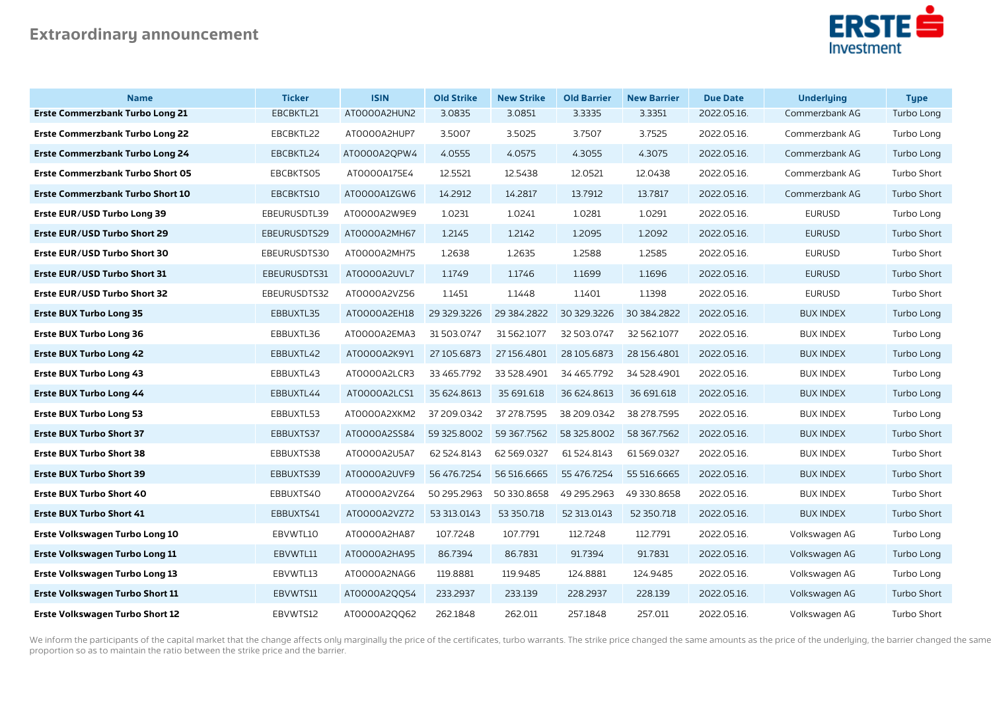

| <b>Name</b>                             | <b>Ticker</b> | <b>ISIN</b>  | <b>Old Strike</b> | <b>New Strike</b> | <b>Old Barrier</b> | <b>New Barrier</b> | <b>Due Date</b> | <b>Underlying</b> | <b>Type</b> |
|-----------------------------------------|---------------|--------------|-------------------|-------------------|--------------------|--------------------|-----------------|-------------------|-------------|
| <b>Erste Commerzbank Turbo Long 21</b>  | EBCBKTL21     | AT0000A2HUN2 | 3.0835            | 3.0851            | 3.3335             | 3.3351             | 2022.05.16.     | Commerzbank AG    | Turbo Long  |
| <b>Erste Commerzbank Turbo Long 22</b>  | EBCBKTL22     | ATOOOOA2HUP7 | 3.5007            | 3.5025            | 3.7507             | 3.7525             | 2022.05.16.     | Commerzbank AG    | Turbo Long  |
| <b>Erste Commerzbank Turbo Long 24</b>  | EBCBKTL24     | AT0000A2QPW4 | 4.0555            | 4.0575            | 4.3055             | 4.3075             | 2022.05.16.     | Commerzbank AG    | Turbo Long  |
| <b>Erste Commerzbank Turbo Short 05</b> | EBCBKTS05     | AT0000A175E4 | 12.5521           | 12.5438           | 12.0521            | 12.0438            | 2022.05.16.     | Commerzbank AG    | Turbo Short |
| <b>Erste Commerzbank Turbo Short 10</b> | EBCBKTS10     | AT0000A1ZGW6 | 14.2912           | 14.2817           | 13.7912            | 13.7817            | 2022.05.16.     | Commerzbank AG    | Turbo Short |
| Erste EUR/USD Turbo Long 39             | EBEURUSDTL39  | AT0000A2W9E9 | 1.0231            | 1.0241            | 1.0281             | 1.0291             | 2022.05.16.     | <b>EURUSD</b>     | Turbo Long  |
| Erste EUR/USD Turbo Short 29            | EBEURUSDTS29  | ATOOOOA2MH67 | 1.2145            | 1.2142            | 1.2095             | 1.2092             | 2022.05.16.     | <b>EURUSD</b>     | Turbo Short |
| Erste EUR/USD Turbo Short 30            | EBEURUSDTS30  | AT0000A2MH75 | 1.2638            | 1.2635            | 1.2588             | 1.2585             | 2022.05.16.     | <b>EURUSD</b>     | Turbo Short |
| Erste EUR/USD Turbo Short 31            | EBEURUSDTS31  | ATOOOOA2UVL7 | 1.1749            | 1.1746            | 1.1699             | 1.1696             | 2022.05.16.     | <b>EURUSD</b>     | Turbo Short |
| Erste EUR/USD Turbo Short 32            | EBEURUSDTS32  | AT0000A2VZ56 | 1.1451            | 1.1448            | 1.1401             | 1.1398             | 2022.05.16.     | <b>EURUSD</b>     | Turbo Short |
| <b>Erste BUX Turbo Long 35</b>          | EBBUXTL35     | ATOOOOA2EH18 | 29 329 3226       | 29 384.2822       | 30 329.3226        | 30 384.2822        | 2022.05.16.     | <b>BUX INDEX</b>  | Turbo Long  |
| <b>Erste BUX Turbo Long 36</b>          | EBBUXTL36     | ATOOOOA2EMA3 | 31 503 0747       | 31 562.1077       | 32 503.0747        | 32 562.1077        | 2022.05.16.     | <b>BUX INDEX</b>  | Turbo Long  |
| <b>Erste BUX Turbo Long 42</b>          | EBBUXTL42     | ATOOOOA2K9Y1 | 27 105.6873       | 27 156.4801       | 28 105.6873        | 28 156.4801        | 2022.05.16.     | <b>BUX INDEX</b>  | Turbo Long  |
| <b>Erste BUX Turbo Long 43</b>          | EBBUXTL43     | ATOOOOA2LCR3 | 33 465.7792       | 33 528.4901       | 34 465.7792        | 34 528.4901        | 2022.05.16.     | <b>BUX INDEX</b>  | Turbo Long  |
| <b>Erste BUX Turbo Long 44</b>          | EBBUXTL44     | AT0000A2LCS1 | 35 624.8613       | 35 691.618        | 36 624.8613        | 36 691.618         | 2022.05.16.     | <b>BUX INDEX</b>  | Turbo Long  |
| <b>Erste BUX Turbo Long 53</b>          | EBBUXTL53     | ATOOOOA2XKM2 | 37 209.0342       | 37 278.7595       | 38 209.0342        | 38 278.7595        | 2022.05.16.     | <b>BUX INDEX</b>  | Turbo Long  |
| <b>Erste BUX Turbo Short 37</b>         | EBBUXTS37     | AT0000A2SS84 | 59 325.8002       | 59 367.7562       | 58 325.8002        | 58 367.7562        | 2022.05.16.     | <b>BUX INDEX</b>  | Turbo Short |
| <b>Erste BUX Turbo Short 38</b>         | EBBUXTS38     | AT0000A2U5A7 | 62 524.8143       | 62 569 0327       | 61 524.8143        | 61569.0327         | 2022.05.16.     | <b>BUX INDEX</b>  | Turbo Short |
| <b>Erste BUX Turbo Short 39</b>         | EBBUXTS39     | ATOOOOA2UVF9 | 56 476.7254       | 56 516.6665       | 55 476.7254        | 55 516.6665        | 2022.05.16.     | <b>BUX INDEX</b>  | Turbo Short |
| <b>Erste BUX Turbo Short 40</b>         | EBBUXTS40     | AT0000A2VZ64 | 50 295.2963       | 50 330.8658       | 49 295 2963        | 49 330.8658        | 2022.05.16.     | <b>BUX INDEX</b>  | Turbo Short |
| <b>Erste BUX Turbo Short 41</b>         | EBBUXTS41     | AT0000A2VZ72 | 53 313.0143       | 53 350.718        | 52 313.0143        | 52 350.718         | 2022.05.16.     | <b>BUX INDEX</b>  | Turbo Short |
| Erste Volkswagen Turbo Long 10          | EBVWTL10      | ATOOOOA2HA87 | 107.7248          | 107.7791          | 112.7248           | 112.7791           | 2022.05.16.     | Volkswagen AG     | Turbo Long  |
| Erste Volkswagen Turbo Long 11          | EBVWTL11      | AT0000A2HA95 | 86.7394           | 86.7831           | 91.7394            | 91.7831            | 2022.05.16.     | Volkswagen AG     | Turbo Long  |
| Erste Volkswagen Turbo Long 13          | EBVWTL13      | ATOOOOA2NAG6 | 119.8881          | 119.9485          | 124.8881           | 124.9485           | 2022.05.16.     | Volkswagen AG     | Turbo Long  |
| <b>Erste Volkswagen Turbo Short 11</b>  | EBVWTS11      | AT0000A2QQ54 | 233.2937          | 233.139           | 228.2937           | 228.139            | 2022.05.16.     | Volkswagen AG     | Turbo Short |
| <b>Erste Volkswagen Turbo Short 12</b>  | EBVWTS12      | AT0000A2QQ62 | 262.1848          | 262.011           | 257.1848           | 257.011            | 2022.05.16.     | Volkswagen AG     | Turbo Short |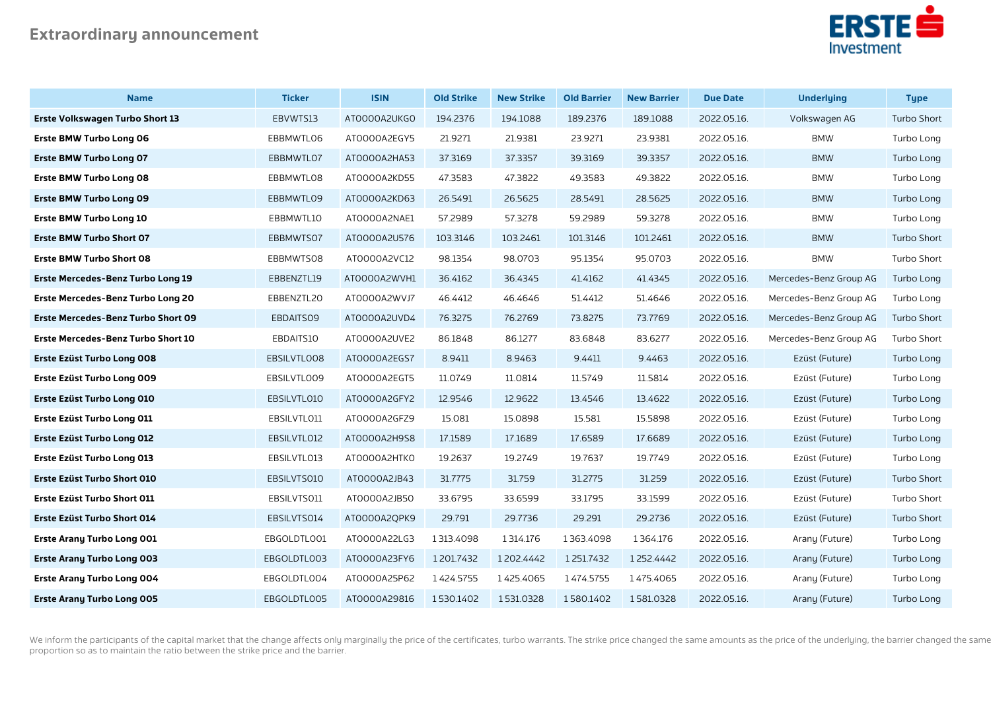

| <b>Name</b>                              | <b>Ticker</b> | <b>ISIN</b>  | <b>Old Strike</b> | <b>New Strike</b> | <b>Old Barrier</b> | <b>New Barrier</b> | <b>Due Date</b> | <b>Underlying</b>      | <b>Type</b>        |
|------------------------------------------|---------------|--------------|-------------------|-------------------|--------------------|--------------------|-----------------|------------------------|--------------------|
| <b>Erste Volkswagen Turbo Short 13</b>   | EBVWTS13      | ATOOOOA2UKGO | 194.2376          | 194.1088          | 189.2376           | 189.1088           | 2022.05.16.     | Volkswagen AG          | <b>Turbo Short</b> |
| <b>Erste BMW Turbo Long 06</b>           | EBBMWTL06     | ATOOOOA2EGY5 | 21.9271           | 21.9381           | 23.9271            | 23.9381            | 2022.05.16.     | <b>BMW</b>             | Turbo Long         |
| <b>Erste BMW Turbo Long 07</b>           | EBBMWTL07     | ATOOOOA2HA53 | 37.3169           | 37.3357           | 39.3169            | 39.3357            | 2022.05.16.     | <b>BMW</b>             | Turbo Long         |
| <b>Erste BMW Turbo Long 08</b>           | EBBMWTL08     | ATOOOOA2KD55 | 47.3583           | 47.3822           | 49.3583            | 49.3822            | 2022.05.16.     | <b>BMW</b>             | Turbo Long         |
| <b>Erste BMW Turbo Long 09</b>           | EBBMWTL09     | ATOOOOA2KD63 | 26.5491           | 26.5625           | 28.5491            | 28.5625            | 2022.05.16.     | <b>BMW</b>             | Turbo Long         |
| <b>Erste BMW Turbo Long 10</b>           | EBBMWTL10     | ATOOOOA2NAE1 | 57.2989           | 57.3278           | 59.2989            | 59.3278            | 2022.05.16.     | <b>BMW</b>             | Turbo Long         |
| <b>Erste BMW Turbo Short 07</b>          | EBBMWTS07     | AT0000A2U576 | 103.3146          | 103.2461          | 101.3146           | 101.2461           | 2022.05.16.     | <b>BMW</b>             | Turbo Short        |
| <b>Erste BMW Turbo Short 08</b>          | EBBMWTS08     | AT0000A2VC12 | 98.1354           | 98.0703           | 95.1354            | 95.0703            | 2022.05.16.     | <b>BMW</b>             | Turbo Short        |
| Erste Mercedes-Benz Turbo Long 19        | EBBENZTL19    | ATOOOOA2WVH1 | 36.4162           | 36.4345           | 41.4162            | 41.4345            | 2022.05.16.     | Mercedes-Benz Group AG | Turbo Long         |
| <b>Erste Mercedes-Benz Turbo Long 20</b> | EBBENZTL20    | ATOOOOA2WVJ7 | 46.4412           | 46.4646           | 51.4412            | 51.4646            | 2022.05.16.     | Mercedes-Benz Group AG | Turbo Long         |
| Erste Mercedes-Benz Turbo Short 09       | EBDAITS09     | AT0000A2UVD4 | 76.3275           | 76.2769           | 73.8275            | 73.7769            | 2022.05.16.     | Mercedes-Benz Group AG | Turbo Short        |
| Erste Mercedes-Benz Turbo Short 10       | EBDAITS10     | ATOOOOA2UVE2 | 86.1848           | 86.1277           | 83.6848            | 83.6277            | 2022.05.16.     | Mercedes-Benz Group AG | Turbo Short        |
| Erste Ezüst Turbo Long 008               | EBSILVTLO08   | AT0000A2EGS7 | 8.9411            | 8.9463            | 9.4411             | 9.4463             | 2022.05.16.     | Ezüst (Future)         | Turbo Long         |
| Erste Ezüst Turbo Long 009               | EBSILVTLO09   | ATOOOOA2EGT5 | 11.0749           | 11.0814           | 11.5749            | 11.5814            | 2022.05.16.     | Ezüst (Future)         | Turbo Long         |
| Erste Ezüst Turbo Long 010               | EBSILVTL010   | AT0000A2GFY2 | 12.9546           | 12.9622           | 13.4546            | 13.4622            | 2022.05.16.     | Ezüst (Future)         | Turbo Long         |
| Erste Ezüst Turbo Long 011               | EBSILVTL011   | ATOOOOA2GFZ9 | 15.081            | 15.0898           | 15.581             | 15.5898            | 2022.05.16.     | Ezüst (Future)         | Turbo Long         |
| Erste Ezüst Turbo Long 012               | EBSILVTL012   | ATOOOOA2H9S8 | 17.1589           | 17.1689           | 17.6589            | 17.6689            | 2022.05.16.     | Ezüst (Future)         | Turbo Long         |
| Erste Ezüst Turbo Long 013               | EBSILVTL013   | ATOOOOA2HTKO | 19.2637           | 19.2749           | 19.7637            | 19.7749            | 2022.05.16.     | Ezüst (Future)         | Turbo Long         |
| <b>Erste Ezüst Turbo Short 010</b>       | EBSILVTS010   | AT0000A2JB43 | 31.7775           | 31.759            | 31.2775            | 31.259             | 2022.05.16.     | Ezüst (Future)         | Turbo Short        |
| Erste Ezüst Turbo Short 011              | EBSILVTS011   | AT0000A2JB50 | 33.6795           | 33.6599           | 33.1795            | 33.1599            | 2022.05.16.     | Ezüst (Future)         | Turbo Short        |
| Erste Ezüst Turbo Short 014              | EBSILVTS014   | ATOOOOA2QPK9 | 29.791            | 29.7736           | 29.291             | 29.2736            | 2022.05.16.     | Ezüst (Future)         | <b>Turbo Short</b> |
| <b>Erste Arany Turbo Long 001</b>        | EBGOLDTL001   | AT0000A22LG3 | 1 313.4098        | 1 3 1 4 1 7 6     | 1363.4098          | 1364.176           | 2022.05.16.     | Arany (Future)         | Turbo Long         |
| <b>Erste Arany Turbo Long 003</b>        | EBGOLDTL003   | AT0000A23FY6 | 1201.7432         | 1202.4442         | 1251.7432          | 1252.4442          | 2022.05.16.     | Arany (Future)         | Turbo Long         |
| <b>Erste Arany Turbo Long 004</b>        | EBGOLDTL004   | AT0000A25P62 | 1424.5755         | 1425.4065         | 1474.5755          | 1475.4065          | 2022.05.16.     | Arany (Future)         | Turbo Long         |
| <b>Erste Arany Turbo Long 005</b>        | EBGOLDTL005   | AT0000A29816 | 1530.1402         | 1531.0328         | 1580.1402          | 1581.0328          | 2022.05.16.     | Arany (Future)         | Turbo Long         |